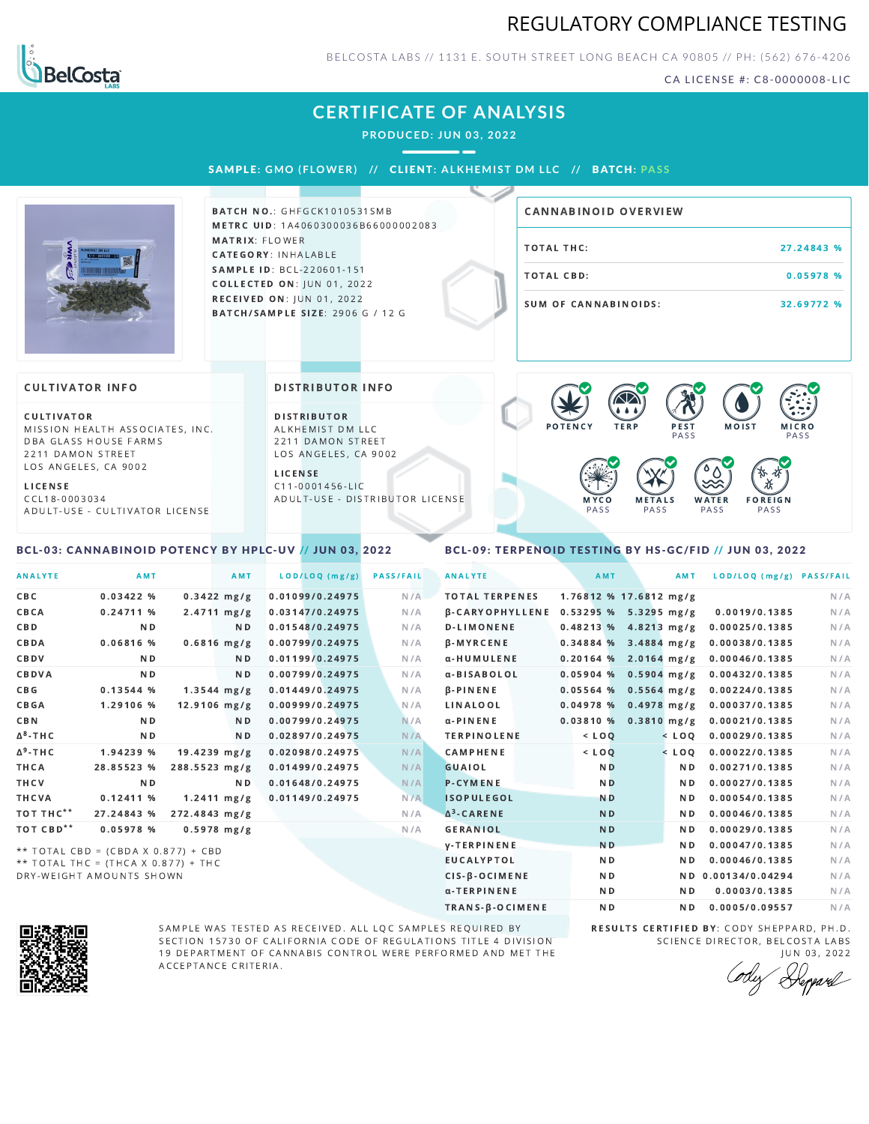



BELCOSTA LABS // 1131 E. SOUTH STREET LONG BEACH C A 90805 // PH: (562) 676-4206

CA LICENSE #: C8-0000008-LIC

# **CERTIFICATE OF ANALYSIS**

**PRODUCED: JUN 03, 2022**

SAMPL E **: GMO ( F LOWER) //** CL I ENT**: A LKHEMI ST DM L LC //** BATCH**: PA S S**



**BATCH NO.: GHFGCK1010531SMB** METRC UID: 1A4060300036B66000002083 MATRIX: FLOWER CATEGORY: INHALABLE SAMPLE ID: BCL-220601-151 **COLLECTED ON: JUN 01, 2022** RECEIVED ON: JUN 01, 2022 BATCH/SAMPLE SIZE: 2906 G / 12 G

# TOTAL THC: 27.24843 % TOTAL CBD: 0.05978 % SUM OF CANNABINOIDS: 32.69772 % CANNABINOID OVERVIEW

#### **CULTIVATOR INFO**

CULTIVATOR MISSION HEALTH ASSOCIATES, INC. DBA GLASS HOUSE FARMS 2211 DAMON STREET LOS ANGELES, CA 9002

<span id="page-0-0"></span>BCL-03: CANNABINOID POTENCY BY HPLC-UV // JUN 03, 2022

L I C E N S E C C L 1 8 - 0 0 0 3 0 3 4 A D U L T - U S E - C U L T I V A T O R L I CENSE DISTRIBUTOR INFO

D I STRIBUTOR ALKHEMIST DM LLC 2211 DAMON STREET LOS ANGELES, CA 9002

L I C E N S E C 1 1 - 0 0 0 1 4 5 6 - L I C A D U L T - U S E - D I STRIBUTOR LICENSE



### <span id="page-0-1"></span>BCL-09: TERPENOID TESTING BY HS-GC/FID // JUN 03, 2022

| <b>ANALYTE</b>        | AMT                                 |                         | AMT            | LOD/LOQ (mg/g)  | <b>PASS/FAIL</b> | <b>ANALYTE</b>         | <b>AMT</b>     | <b>AMT</b>               | LOD/LOQ (mg/g) PASS/FAIL |     |
|-----------------------|-------------------------------------|-------------------------|----------------|-----------------|------------------|------------------------|----------------|--------------------------|--------------------------|-----|
| CBC                   | 0.03422%                            | $0.3422$ mg/g           |                | 0.01099/0.24975 | N/A              | <b>TOTAL TERPENES</b>  |                | $1.76812$ % 17.6812 mg/g |                          | N/A |
| CBCA                  | 0.24711%                            | $2.4711 \, mg/g$        |                | 0.03147/0.24975 | N/A              | <b>B-CARYOPHYLLENE</b> |                | $0.53295%$ 5.3295 mg/g   | 0.0019/0.1385            | N/A |
| CBD                   | N <sub>D</sub>                      |                         | ND.            | 0.01548/0.24975 | N/A              | <b>D-LIMONENE</b>      |                | 0.48213 % 4.8213 mg/g    | 0.00025/0.1385           | N/A |
| CBDA                  | 0.06816 %                           | $0.6816$ mg/g           |                | 0.00799/0.24975 | N/A              | $\beta$ -MYRCENE       |                | $0.34884%$ 3.4884 mg/g   | 0.00038/0.1385           | N/A |
| CBDV                  | N <sub>D</sub>                      |                         | N D            | 0.01199/0.24975 | N/A              | α-HUMULENE             |                | $0.20164$ % 2.0164 mg/g  | 0.00046/0.1385           | N/A |
| CBDVA                 | N <sub>D</sub>                      |                         | N <sub>D</sub> | 0.00799/0.24975 | N/A              | α-BISABOLOL            | 0.05904%       | $0.5904$ mg/g            | 0.00432/0.1385           | N/A |
| C B G                 | 0.13544%                            | $1.3544 \, \text{mg/g}$ |                | 0.01449/0.24975 | N/A              | <b>B-PINENE</b>        |                | $0.05564$ % 0.5564 mg/g  | 0.00224/0.1385           | N/A |
| CBGA                  | 1.29106 %                           | $12.9106$ mg/g          |                | 0.00999/0.24975 | N/A              | LINALOOL               | 0.04978 %      | $0.4978$ mg/g            | 0.00037/0.1385           | N/A |
| <b>CBN</b>            | N <sub>D</sub>                      |                         | ND.            | 0.00799/0.24975 | N/A              | $\alpha$ -PINENE       | 0.03810%       | $0.3810$ mg/g            | 0.00021/0.1385           | N/A |
| Δ <sup>8</sup> -ΤΗ C  | ND.                                 |                         | N <sub>D</sub> | 0.02897/0.24975 | N/A              | <b>TERPINOLENE</b>     | $<$ LOQ        | $<$ LOQ                  | 0.00029/0.1385           | N/A |
| $\Delta^9$ -THC       | 1.94239 %                           | $19.4239$ mg/g          |                | 0.02098/0.24975 | N/A              | <b>CAMPHENE</b>        | $<$ LOQ        | $<$ LOQ                  | 0.00022/0.1385           | N/A |
| THCA                  | 28.85523 %                          | 288.5523 mg/g           |                | 0.01499/0.24975 | N/A              | GUAIOL                 | N <sub>D</sub> | N <sub>D</sub>           | 0.00271/0.1385           | N/A |
| THCV                  | <b>ND</b>                           |                         | N <sub>D</sub> | 0.01648/0.24975 | N/A              | <b>P-CYMENE</b>        | <b>ND</b>      | N <sub>D</sub>           | 0.00027/0.1385           | N/A |
| THCVA                 | 0.12411%                            | $1.2411 \, \text{mg/g}$ |                | 0.01149/0.24975 | N/A              | <b>ISOPULEGOL</b>      | <b>ND</b>      | N <sub>D</sub>           | 0.00054/0.1385           | N/A |
| тот тнс**             | 27.24843 %                          | 272.4843 mg/g           |                |                 | N/A              | $\Delta^3$ -CARENE     | <b>ND</b>      | N <sub>D</sub>           | 0.00046/0.1385           | N/A |
| TOT CBD <sup>**</sup> | 0.05978 %                           | $0.5978$ mg/g           |                |                 | N/A              | <b>GERANIOL</b>        | <b>ND</b>      | N <sub>D</sub>           | 0.00029/0.1385           | N/A |
|                       | ** TOTAL CBD = (CBDA X 0.877) + CBD |                         |                |                 |                  | <b>V-TERPINENE</b>     | <b>ND</b>      | N <sub>D</sub>           | 0.00047/0.1385           | N/A |
|                       | ** TOTAL THC = (THCA X 0 877) + THC |                         |                |                 |                  | <b>EUCALYPTOL</b>      | N <sub>D</sub> | N <sub>D</sub>           | 0.00046/0.1385           | N/A |

T T A L T H C = (T H C A X 0.877) DRY-WEIGHT AMOUNTS SHOWN



SAMPLE WAS TESTED AS RECEIVED. ALL LQC SAMPLES REQUIRED BY SECTION 15730 OF CALIFORNIA CODE OF REGULATIONS TITLE 4 DIVISION 19 DEPARTMENT OF CANNABIS CONTROL WERE PERFORMED AND MET THE A C C E P T A N C E C R I T E R I A.

RESULTS CERTIFIED BY: CODY SHEPPARD, PH.D. SCIENCE DIRECTOR, BELCOSTA LABS JUN 03, 2022

CIS-β-OCIMENE ND ND ND 0.00134/0.04294 N/A α-TERPINENE ND ND 0.0003/0.1385 N/A TRANS-β-OCIMENE ND ND 0.0005/0.09557 N/A

Depard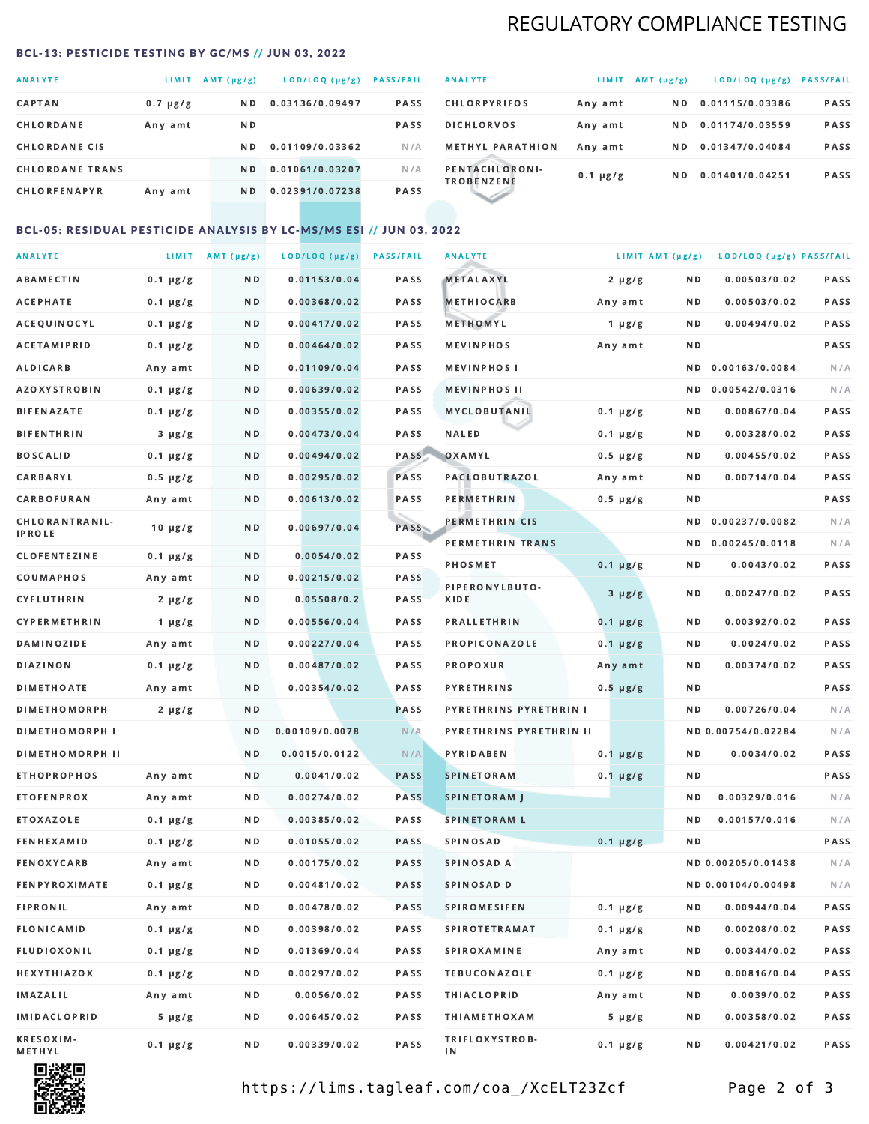## REGULATORY COMPLIANCE TESTING

### <span id="page-1-0"></span>BCL-13: PESTICIDE TESTING BY GC/MS // JUN 03, 2022

| <b>ANALYTE</b>         | LIMIT.        | AMT (µg/g)     | LOD/LOQ (µg/g)  | <b>PASS/FAIL</b> |
|------------------------|---------------|----------------|-----------------|------------------|
| <b>CAPTAN</b>          | $0.7 \mu g/g$ | N D            | 0.03136/0.09497 | <b>PASS</b>      |
| CHLORDANE              | Any amt       | N D            |                 | <b>PASS</b>      |
| <b>CHLORDANE CIS</b>   |               | N D            | 0.01109/0.03362 | N/A              |
| <b>CHLORDANE TRANS</b> |               | N <sub>D</sub> | 0.01061/0.03207 | N/A              |
| <b>CHLORFENAPYR</b>    | Any amt       | N D            | 0.02391/0.07238 | <b>PASS</b>      |

| <b>ANALYTE</b>                      | LIMIT         | $AMT(\mu g/g)$ | LOD/LOQ (µg/g)  | <b>PASS/FAIL</b> |
|-------------------------------------|---------------|----------------|-----------------|------------------|
| <b>CHLORPYRIFOS</b>                 | Any amt       | N D            | 0.01115/0.03386 | <b>PASS</b>      |
| <b>DICHLORVOS</b>                   | Any amt       | ND.            | 0.01174/0.03559 | PASS             |
| <b>METHYL PARATHION</b>             | Any amt       | ND.            | 0.01347/0.04084 | <b>PASS</b>      |
| PENTACHLORONI-<br><b>TROBENZENE</b> | $0.1 \mu g/g$ | ND.            | 0.01401/0.04251 | <b>PASS</b>      |
|                                     |               |                |                 |                  |

### BCL-05: RESIDUAL PESTICIDE ANALYSIS BY LC-MS/MS ESI // JUN 03, 2022

| <b>ANALYTE</b>             |               | LIMIT $AMT (\mu g/g)$ | LOD/LOQ (µg/g) | <b>PASS/FAIL</b> | <b>ANALYTE</b>          | LIMIT AMT $(\mu g/g)$ |     | LOD/LOQ (µg/g) PASS/FAIL |      |
|----------------------------|---------------|-----------------------|----------------|------------------|-------------------------|-----------------------|-----|--------------------------|------|
| ABAMECTIN                  | $0.1 \mu g/g$ | N D                   | 0.01153/0.04   | PASS             | <b>METALAXYL</b>        | $2 \mu g/g$           | N D | 0.00503/0.02             | PASS |
| АСЕРНАТЕ                   | $0.1 \mu g/g$ | N D                   | 0.00368/0.02   | <b>PASS</b>      | <b>METHIOCARB</b>       | Any amt               | N D | 0.00503/0.02             | PASS |
| ACEQUINOCYL                | $0.1 \mu g/g$ | N D                   | 0.00417/0.02   | PASS             | METHOMYL                | 1 $\mu$ g/g           | N D | 0.00494/0.02             | PASS |
| <b>ACETAMIPRID</b>         | $0.1 \mu g/g$ | N D                   | 0.00464/0.02   | PASS             | <b>MEVINPHOS</b>        | Any amt               | ND. |                          | PASS |
| ALDICARB                   | Any amt       | N D                   | 0.01109/0.04   | <b>PASS</b>      | <b>MEVINPHOS I</b>      |                       | ND. | 0.00163/0.0084           | N/A  |
| <b>AZOXYSTROBIN</b>        | $0.1 \mu g/g$ | N D                   | 0.00639/0.02   | <b>PASS</b>      | <b>MEVINPHOS II</b>     |                       | N D | 0.00542/0.0316           | N/A  |
| BIFENAZATE                 | $0.1 \mu g/g$ | N D                   | 0.00355/0.02   | PASS             | MYCLOBUTANIL            | $0.1 \mu g/g$         | N D | 0.00867/0.04             | PASS |
| <b>BIFENTHRIN</b>          | $3 \mu g/g$   | N D                   | 0.00473/0.04   | PASS             | <b>NALED</b>            | $0.1 \mu g/g$         | N D | 0.00328/0.02             | PASS |
| <b>BOSCALID</b>            | $0.1 \mu g/g$ | N D                   | 0.00494/0.02   | PASS             | OXAMYL                  | $0.5 \mu g/g$         | ND  | 0.00455/0.02             | PASS |
| <b>CARBARYL</b>            | $0.5 \mu g/g$ | N D                   | 0.00295/0.02   | PASS             | <b>PACLOBUTRAZOL</b>    | Any amt               | N D | 0.00714/0.04             | PASS |
| CARBOFURAN                 | Any amt       | N D                   | 0.00613/0.02   | PASS             | PERMETHRIN              | $0.5 \mu g/g$         | N D |                          | PASS |
| CHLORANTRANIL-             | $10 \mu g/g$  | N D                   | 0.00697/0.04   | PASS             | PERMETHRIN CIS          |                       | ND. | 0.00237/0.0082           | N/A  |
| <b>IPROLE</b>              |               |                       |                |                  | PERMETHRIN TRANS        |                       |     | ND 0.00245/0.0118        | N/A  |
| <b>CLOFENTEZINE</b>        | $0.1 \mu g/g$ | N D                   | 0.0054/0.02    | PASS             | <b>PHOSMET</b>          | $0.1 \mu g/g$         | N D | 0.0043/0.02              | PASS |
| COUMAPHOS                  | Any amt       | N D                   | 0.00215/0.02   | PASS             | PIPERONYLBUTO-          | $3 \mu g/g$           | N D | 0.00247/0.02             | PASS |
| CYFLUTHRIN                 | $2 \mu g/g$   | N D                   | 0.05508/0.2    | <b>PASS</b>      | XIDE                    |                       |     |                          |      |
| <b>CYPERMETHRIN</b>        | $1 \mu g/g$   | N D                   | 0.00556/0.04   | PASS             | <b>PRALLETHRIN</b>      | $0.1 \mu g/g$         | N D | 0.00392/0.02             | PASS |
| <b>DAMINOZIDE</b>          | Any amt       | N D                   | 0.00227/0.04   | PASS             | PROPICONAZOLE           | $0.1 \mu g/g$         | N D | 0.0024/0.02              | PASS |
| <b>DIAZINON</b>            | $0.1 \mu g/g$ | N D                   | 0.00487/0.02   | <b>PASS</b>      | <b>PROPOXUR</b>         | Any amt               | N D | 0.00374/0.02             | PASS |
| <b>DIMETHOATE</b>          | Any amt       | N D                   | 0.00354/0.02   | <b>PASS</b>      | <b>PYRETHRINS</b>       | $0.5 \mu g/g$         | N D |                          | PASS |
| <b>DIMETHOMORPH</b>        | $2 \mu g/g$   | N D                   |                | <b>PASS</b>      | PYRETHRINS PYRETHRIN I  |                       | N D | 0.00726/0.04             | N/A  |
| <b>DIMETHOMORPH I</b>      |               | N D                   | 0.00109/0.0078 | N/A              | PYRETHRINS PYRETHRIN II |                       |     | ND 0.00754/0.02284       | N/A  |
| <b>DIMETHOMORPH II</b>     |               | ND.                   | 0.0015/0.0122  | N/A              | PYRIDABEN               | $0.1 \mu g/g$         | N D | 0.0034/0.02              | PASS |
| <b>ETHOPROPHOS</b>         | Any amt       | N D                   | 0.0041/0.02    | <b>PASS</b>      | <b>SPINETORAM</b>       | $0.1 \mu g/g$         | N D |                          | PASS |
| <b>ETOFENPROX</b>          | Any amt       | N D                   | 0.00274/0.02   | <b>PASS</b>      | <b>SPINETORAM J</b>     |                       | N D | 0.00329/0.016            | N/A  |
| ETOXAZOLE                  | $0.1 \mu g/g$ | N D                   | 0.00385/0.02   | PASS             | <b>SPINETORAM L</b>     |                       | ND. | 0.00157/0.016            | N/A  |
| <b>FENHEXAMID</b>          | $0.1 \mu g/g$ | N D                   | 0.01055/0.02   | <b>PASS</b>      | <b>SPINOSAD</b>         | $0.1 \mu g/g$         | N D |                          | PASS |
| FENOXYCARB                 | Any amt       | N D                   | 0.00175/0.02   | <b>PASS</b>      | SPINOSAD A              |                       |     | ND 0.00205/0.01438       | N/A  |
| <b>FENPYROXIMATE</b>       | $0.1 \mu g/g$ | N D                   | 0.00481/0.02   | PASS             | SPINOSAD D              |                       |     | ND 0.00104/0.00498       | N/A  |
| <b>FIPRONIL</b>            | Any amt       | N D                   | 0.00478/0.02   | PASS             | <b>SPIROMESIFEN</b>     | $0.1 \mu g/g$         | ND. | 0.00944/0.04             | PASS |
| FLONICAMID                 | $0.1 \mu g/g$ | N D                   | 0.00398/0.02   | PASS             | <b>SPIROTETRAMAT</b>    | $0.1 \mu g/g$         | N D | 0.00208/0.02             | PASS |
| FLUDIOXONIL                | $0.1 \mu g/g$ | N D                   | 0.01369/0.04   | PASS             | <b>SPIROXAMINE</b>      | Any amt               | N D | 0.00344/0.02             | PASS |
| <b>HEXYTHIAZOX</b>         | $0.1 \mu g/g$ | N D                   | 0.00297/0.02   | PASS             | <b>TEBUCONAZOLE</b>     | $0.1 \mu g/g$         | N D | 0.00816/0.04             | PASS |
| <b>IMAZALIL</b>            | Any amt       | N D                   | 0.0056/0.02    | PASS             | <b>THIACLOPRID</b>      | Any amt               | N D | 0.0039/0.02              | PASS |
| <b>IMIDACLOPRID</b>        | $5 \mu g/g$   | N D                   | 0.00645/0.02   | PASS             | <b>THIAMETHOXAM</b>     | $5 \mu g/g$           | N D | 0.00358/0.02             | PASS |
| <b>KRESOXIM-</b><br>METHYL | $0.1 \mu g/g$ | N D                   | 0.00339/0.02   | PASS             | TRIFLOXYSTROB-<br>ΙN    | $0.1 \mu g/g$         | N D | 0.00421/0.02             | PASS |



https://lims.tagleaf.com/coa\_/XcELT23Zcf Page 2 of 3